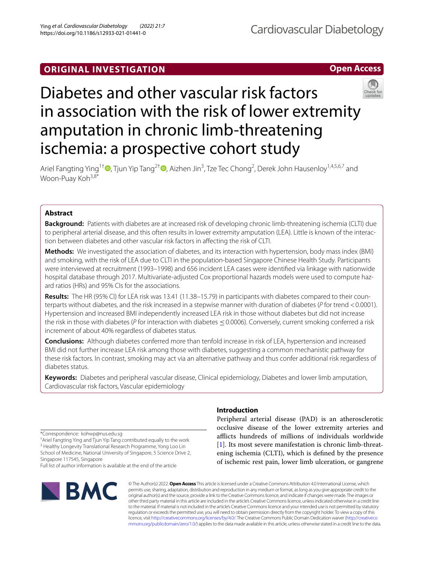# **ORIGINAL INVESTIGATION**

**Open Access**

# Diabetes and other vascular risk factors in association with the risk of lower extremity amputation in chronic limb-threatening ischemia: a prospective cohort study



Ariel Fangting Ying<sup>1†</sup> <sup>(D</sup>[,](http://orcid.org/0000-0001-7403-7517) Tjun Yip Tang<sup>2[†](https://orcid.org/0000-0002-8524-7912)</sup> (D, Aizhen Jin<sup>3</sup>, Tze Tec Chong<sup>2</sup>, Derek John Hausenloy<sup>1,4,5,6,7</sup> and Woon-Puay Koh<sup>3,8\*</sup>

# **Abstract**

**Background:** Patients with diabetes are at increased risk of developing chronic limb-threatening ischemia (CLTI) due to peripheral arterial disease, and this often results in lower extremity amputation (LEA). Little is known of the interaction between diabetes and other vascular risk factors in afecting the risk of CLTI.

**Methods:** We investigated the association of diabetes, and its interaction with hypertension, body mass index (BMI) and smoking, with the risk of LEA due to CLTI in the population-based Singapore Chinese Health Study. Participants were interviewed at recruitment (1993–1998) and 656 incident LEA cases were identifed via linkage with nationwide hospital database through 2017. Multivariate-adjusted Cox proportional hazards models were used to compute hazard ratios (HRs) and 95% CIs for the associations.

**Results:** The HR (95% CI) for LEA risk was 13.41 (11.38–15.79) in participants with diabetes compared to their coun‑ terparts without diabetes, and the risk increased in a stepwise manner with duration of diabetes (*P* for trend <0.0001). Hypertension and increased BMI independently increased LEA risk in those without diabetes but did not increase the risk in those with diabetes (*P* for interaction with diabetes ≤0.0006). Conversely, current smoking conferred a risk increment of about 40% regardless of diabetes status.

**Conclusions:** Although diabetes conferred more than tenfold increase in risk of LEA, hypertension and increased BMI did not further increase LEA risk among those with diabetes, suggesting a common mechanistic pathway for these risk factors. In contrast, smoking may act via an alternative pathway and thus confer additional risk regardless of diabetes status.

**Keywords:** Diabetes and peripheral vascular disease, Clinical epidemiology, Diabetes and lower limb amputation, Cardiovascular risk factors, Vascular epidemiology

\*Correspondence: kohwp@nus.edu.sg

† Ariel Fangting Ying and Tjun Yip Tang contributed equally to the work <sup>3</sup> Healthy Longevity Translational Research Programme, Yong Loo Lin School of Medicine, National University of Singapore, 5 Science Drive 2, Singapore 117545, Singapore Full list of author information is available at the end of the article



# **Introduction**

Peripheral arterial disease (PAD) is an atherosclerotic occlusive disease of the lower extremity arteries and aficts hundreds of millions of individuals worldwide [[1\]](#page-7-0). Its most severe manifestation is chronic limb-threatening ischemia (CLTI), which is defned by the presence of ischemic rest pain, lower limb ulceration, or gangrene

© The Author(s) 2022. **Open Access** This article is licensed under a Creative Commons Attribution 4.0 International License, which permits use, sharing, adaptation, distribution and reproduction in any medium or format, as long as you give appropriate credit to the original author(s) and the source, provide a link to the Creative Commons licence, and indicate if changes were made. The images or other third party material in this article are included in the article's Creative Commons licence, unless indicated otherwise in a credit line to the material. If material is not included in the article's Creative Commons licence and your intended use is not permitted by statutory regulation or exceeds the permitted use, you will need to obtain permission directly from the copyright holder. To view a copy of this licence, visit [http://creativecommons.org/licenses/by/4.0/.](http://creativecommons.org/licenses/by/4.0/) The Creative Commons Public Domain Dedication waiver ([http://creativeco](http://creativecommons.org/publicdomain/zero/1.0/) [mmons.org/publicdomain/zero/1.0/](http://creativecommons.org/publicdomain/zero/1.0/)) applies to the data made available in this article, unless otherwise stated in a credit line to the data.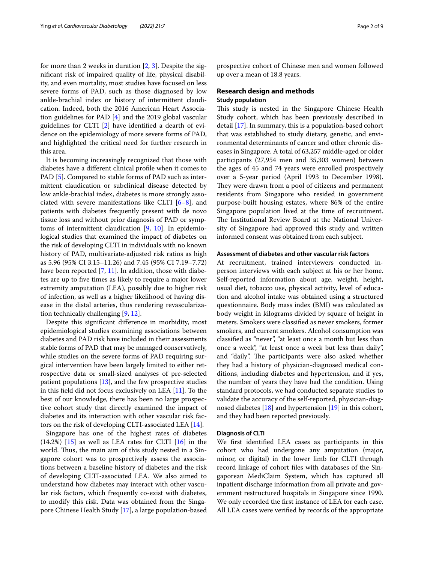for more than 2 weeks in duration  $[2, 3]$  $[2, 3]$  $[2, 3]$  $[2, 3]$ . Despite the signifcant risk of impaired quality of life, physical disability, and even mortality, most studies have focused on less severe forms of PAD, such as those diagnosed by low ankle-brachial index or history of intermittent claudication. Indeed, both the 2016 American Heart Association guidelines for PAD [[4\]](#page-7-3) and the 2019 global vascular guidelines for CLTI [\[2](#page-7-1)] have identifed a dearth of evidence on the epidemiology of more severe forms of PAD, and highlighted the critical need for further research in this area.

It is becoming increasingly recognized that those with diabetes have a diferent clinical profle when it comes to PAD [[5](#page-7-4)]. Compared to stable forms of PAD such as intermittent claudication or subclinical disease detected by low ankle-brachial index, diabetes is more strongly associated with severe manifestations like CLTI  $[6-8]$  $[6-8]$ , and patients with diabetes frequently present with de novo tissue loss and without prior diagnosis of PAD or symptoms of intermittent claudication [[9,](#page-7-7) [10](#page-7-8)]. In epidemiological studies that examined the impact of diabetes on the risk of developing CLTI in individuals with no known history of PAD, multivariate-adjusted risk ratios as high as 5.96 (95% CI 3.15–11.26) and 7.45 (95% CI 7.19–7.72) have been reported  $[7, 11]$  $[7, 11]$  $[7, 11]$  $[7, 11]$ . In addition, those with diabetes are up to fve times as likely to require a major lower extremity amputation (LEA), possibly due to higher risk of infection, as well as a higher likelihood of having disease in the distal arteries, thus rendering revascularization technically challenging [\[9](#page-7-7), [12\]](#page-7-11).

Despite this signifcant diference in morbidity, most epidemiological studies examining associations between diabetes and PAD risk have included in their assessments stable forms of PAD that may be managed conservatively, while studies on the severe forms of PAD requiring surgical intervention have been largely limited to either retrospective data or small-sized analyses of pre-selected patient populations  $[13]$  $[13]$  $[13]$ , and the few prospective studies in this feld did not focus exclusively on LEA [\[11](#page-7-10)]. To the best of our knowledge, there has been no large prospective cohort study that directly examined the impact of diabetes and its interaction with other vascular risk factors on the risk of developing CLTI-associated LEA [\[14](#page-8-0)].

Singapore has one of the highest rates of diabetes  $(14.2%)$  [\[15](#page-8-1)] as well as LEA rates for CLTI [\[16\]](#page-8-2) in the world. Thus, the main aim of this study nested in a Singapore cohort was to prospectively assess the associations between a baseline history of diabetes and the risk of developing CLTI-associated LEA. We also aimed to understand how diabetes may interact with other vascular risk factors, which frequently co-exist with diabetes, to modify this risk. Data was obtained from the Singapore Chinese Health Study [\[17\]](#page-8-3), a large population-based prospective cohort of Chinese men and women followed up over a mean of 18.8 years.

# **Research design and methods Study population**

This study is nested in the Singapore Chinese Health Study cohort, which has been previously described in detail [[17\]](#page-8-3). In summary, this is a population-based cohort that was established to study dietary, genetic, and environmental determinants of cancer and other chronic diseases in Singapore. A total of 63,257 middle-aged or older participants (27,954 men and 35,303 women) between the ages of 45 and 74 years were enrolled prospectively over a 5-year period (April 1993 to December 1998). They were drawn from a pool of citizens and permanent residents from Singapore who resided in government purpose-built housing estates, where 86% of the entire Singapore population lived at the time of recruitment. The Institutional Review Board at the National University of Singapore had approved this study and written informed consent was obtained from each subject.

# **Assessment of diabetes and other vascular risk factors**

At recruitment, trained interviewers conducted inperson interviews with each subject at his or her home. Self-reported information about age, weight, height, usual diet, tobacco use, physical activity, level of education and alcohol intake was obtained using a structured questionnaire. Body mass index (BMI) was calculated as body weight in kilograms divided by square of height in meters. Smokers were classifed as never smokers, former smokers, and current smokers. Alcohol consumption was classifed as "never", "at least once a month but less than once a week", "at least once a week but less than daily", and "daily". The participants were also asked whether they had a history of physician-diagnosed medical conditions, including diabetes and hypertension, and if yes, the number of years they have had the condition. Using standard protocols, we had conducted separate studies to validate the accuracy of the self-reported, physician-diagnosed diabetes [\[18](#page-8-4)] and hypertension [[19\]](#page-8-5) in this cohort, and they had been reported previously.

# **Diagnosis of CLTI**

We frst identifed LEA cases as participants in this cohort who had undergone any amputation (major, minor, or digital) in the lower limb for CLTI through record linkage of cohort fles with databases of the Singaporean MediClaim System, which has captured all inpatient discharge information from all private and government restructured hospitals in Singapore since 1990. We only recorded the frst instance of LEA for each case. All LEA cases were verifed by records of the appropriate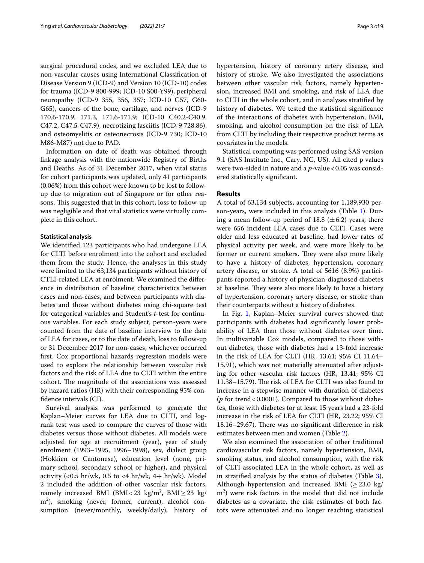surgical procedural codes, and we excluded LEA due to non-vascular causes using International Classifcation of Disease Version 9 (ICD-9) and Version 10 (ICD-10) codes for trauma (ICD-9 800-999; ICD-10 S00-Y99), peripheral neuropathy (ICD-9 355, 356, 357; ICD-10 G57, G60- G65), cancers of the bone, cartilage, and nerves (ICD-9 170.6-170.9, 171.3, 171.6-171.9; ICD-10 C40.2-C40.9, C47.2, C47.5-C47.9), necrotizing fasciitis (ICD-9 728.86), and osteomyelitis or osteonecrosis (ICD-9 730; ICD-10 M86-M87) not due to PAD.

Information on date of death was obtained through linkage analysis with the nationwide Registry of Births and Deaths. As of 31 December 2017, when vital status for cohort participants was updated, only 41 participants (0.06%) from this cohort were known to be lost to followup due to migration out of Singapore or for other reasons. This suggested that in this cohort, loss to follow-up was negligible and that vital statistics were virtually complete in this cohort.

# **Statistical analysis**

We identifed 123 participants who had undergone LEA for CLTI before enrolment into the cohort and excluded them from the study. Hence, the analyses in this study were limited to the 63,134 participants without history of CTLI-related LEA at enrolment. We examined the diference in distribution of baseline characteristics between cases and non-cases, and between participants with diabetes and those without diabetes using chi-square test for categorical variables and Student's *t*-test for continuous variables. For each study subject, person-years were counted from the date of baseline interview to the date of LEA for cases, or to the date of death, loss to follow-up or 31 December 2017 for non-cases, whichever occurred frst. Cox proportional hazards regression models were used to explore the relationship between vascular risk factors and the risk of LEA due to CLTI within the entire cohort. The magnitude of the associations was assessed by hazard ratios (HR) with their corresponding 95% confdence intervals (CI).

Survival analysis was performed to generate the Kaplan–Meier curves for LEA due to CLTI, and logrank test was used to compare the curves of those with diabetes versus those without diabetes. All models were adjusted for age at recruitment (year), year of study enrolment (1993–1995, 1996–1998), sex, dialect group (Hokkien or Cantonese), education level (none, primary school, secondary school or higher), and physical activity (<0.5 hr/wk, 0.5 to <4 hr/wk, 4+ hr/wk). Model 2 included the addition of other vascular risk factors, namely increased BMI (BMI<23  $\text{kg/m}^2$ , BMI $\geq$ 23  $\text{kg/m}^2$ m2 ), smoking (never, former, current), alcohol consumption (never/monthly, weekly/daily), history of hypertension, history of coronary artery disease, and history of stroke. We also investigated the associations between other vascular risk factors, namely hypertension, increased BMI and smoking, and risk of LEA due to CLTI in the whole cohort, and in analyses stratifed by history of diabetes. We tested the statistical signifcance of the interactions of diabetes with hypertension, BMI, smoking, and alcohol consumption on the risk of LEA from CLTI by including their respective product terms as covariates in the models.

Statistical computing was performed using SAS version 9.1 (SAS Institute Inc., Cary, NC, US). All cited p values were two-sided in nature and a *p*-value < 0.05 was considered statistically signifcant.

# **Results**

A total of 63,134 subjects, accounting for 1,189,930 person-years, were included in this analysis (Table [1](#page-3-0)). During a mean follow-up period of 18.8  $(\pm 6.2)$  years, there were 656 incident LEA cases due to CLTI. Cases were older and less educated at baseline, had lower rates of physical activity per week, and were more likely to be former or current smokers. They were also more likely to have a history of diabetes, hypertension, coronary artery disease, or stroke. A total of 5616 (8.9%) participants reported a history of physician-diagnosed diabetes at baseline. They were also more likely to have a history of hypertension, coronary artery disease, or stroke than their counterparts without a history of diabetes.

In Fig. [1,](#page-3-1) Kaplan–Meier survival curves showed that participants with diabetes had signifcantly lower probability of LEA than those without diabetes over time. In multivariable Cox models, compared to those without diabetes, those with diabetes had a 13-fold increase in the risk of LEA for CLTI (HR, 13.61; 95% CI 11.64– 15.91), which was not materially attenuated after adjusting for other vascular risk factors (HR, 13.41; 95% CI 11.38–15.79). The risk of LEA for CLTI was also found to increase in a stepwise manner with duration of diabetes ( $p$  for trend < 0.0001). Compared to those without diabetes, those with diabetes for at least 15 years had a 23-fold increase in the risk of LEA for CLTI (HR, 23.22; 95% CI 18.16–29.67). There was no significant difference in risk estimates between men and women (Table [2](#page-4-0)).

We also examined the association of other traditional cardiovascular risk factors, namely hypertension, BMI, smoking status, and alcohol consumption, with the risk of CLTI-associated LEA in the whole cohort, as well as in stratifed analysis by the status of diabetes (Table [3](#page-4-1)). Although hypertension and increased BMI ( $\geq$  23.0 kg/ m<sup>2</sup>) were risk factors in the model that did not include diabetes as a covariate, the risk estimates of both factors were attenuated and no longer reaching statistical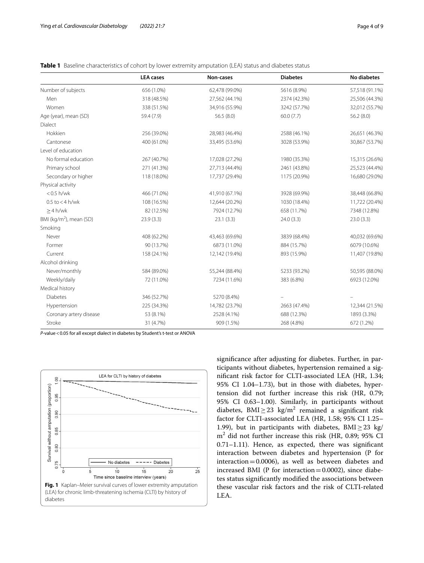<span id="page-3-0"></span>

|                                     | <b>LEA</b> cases | Non-cases      | <b>Diabetes</b> | <b>No diabetes</b> |  |  |
|-------------------------------------|------------------|----------------|-----------------|--------------------|--|--|
| Number of subjects                  | 656 (1.0%)       | 62,478 (99.0%) | 5616 (8.9%)     | 57,518 (91.1%)     |  |  |
| Men                                 | 318 (48.5%)      | 27,562 (44.1%) | 2374 (42.3%)    | 25,506 (44.3%)     |  |  |
| Women                               | 338 (51.5%)      | 34,916 (55.9%) | 3242 (57.7%)    | 32,012 (55.7%)     |  |  |
| Age (year), mean (SD)               | 59.4 (7.9)       | 56.5(8.0)      | 60.0(7.7)       | 56.2(8.0)          |  |  |
| Dialect                             |                  |                |                 |                    |  |  |
| Hokkien                             | 256 (39.0%)      | 28,983 (46.4%) | 2588 (46.1%)    | 26,651 (46.3%)     |  |  |
| Cantonese                           | 400 (61.0%)      | 33,495 (53.6%) | 3028 (53.9%)    | 30,867 (53.7%)     |  |  |
| Level of education                  |                  |                |                 |                    |  |  |
| No formal education                 | 267 (40.7%)      | 17,028 (27.2%) | 1980 (35.3%)    | 15,315 (26.6%)     |  |  |
| Primary school                      | 271 (41.3%)      | 27,713 (44.4%) | 2461 (43.8%)    | 25,523 (44.4%)     |  |  |
| Secondary or higher                 | 118 (18.0%)      | 17,737 (29.4%) | 1175 (20.9%)    | 16,680 (29.0%)     |  |  |
| Physical activity                   |                  |                |                 |                    |  |  |
| $< 0.5$ h/wk                        | 466 (71.0%)      | 41,910 (67.1%) | 3928 (69.9%)    | 38,448 (66.8%)     |  |  |
| $0.5$ to $<$ 4 h/wk                 | 108 (16.5%)      | 12,644 (20.2%) | 1030 (18.4%)    | 11,722 (20.4%)     |  |  |
| $>4$ h/wk                           | 82 (12.5%)       | 7924 (12.7%)   | 658 (11.7%)     | 7348 (12.8%)       |  |  |
| BMI (kg/m <sup>2</sup> ), mean (SD) | 23.9(3.3)        | 23.1(3.3)      | 24.0(3.3)       | 23.0(3.3)          |  |  |
| Smoking                             |                  |                |                 |                    |  |  |
| Never                               | 408 (62.2%)      | 43,463 (69.6%) | 3839 (68.4%)    | 40,032 (69.6%)     |  |  |
| Former                              | 90 (13.7%)       | 6873 (11.0%)   | 884 (15.7%)     | 6079 (10.6%)       |  |  |
| Current                             | 158 (24.1%)      | 12,142 (19.4%) | 893 (15.9%)     | 11,407 (19.8%)     |  |  |
| Alcohol drinking                    |                  |                |                 |                    |  |  |
| Never/monthly                       | 584 (89.0%)      | 55,244 (88.4%) | 5233 (93.2%)    | 50,595 (88.0%)     |  |  |
| Weekly/daily                        | 72 (11.0%)       | 7234 (11.6%)   | 383 (6.8%)      | 6923 (12.0%)       |  |  |
| Medical history                     |                  |                |                 |                    |  |  |
| <b>Diabetes</b>                     | 346 (52.7%)      | 5270 (8.4%)    |                 |                    |  |  |
| Hypertension                        | 225 (34.3%)      | 14,782 (23.7%) | 2663 (47.4%)    | 12,344 (21.5%)     |  |  |
| Coronary artery disease             | 53 (8.1%)        | 2528 (4.1%)    | 688 (12.3%)     | 1893 (3.3%)        |  |  |
| Stroke                              | 31 (4.7%)        | 909 (1.5%)     | 268 (4.8%)      | 672 (1.2%)         |  |  |

*P*-value<0.05 for all except dialect in diabetes by Student's t-test or ANOVA

<span id="page-3-1"></span>

signifcance after adjusting for diabetes. Further, in participants without diabetes, hypertension remained a signifcant risk factor for CLTI-associated LEA (HR, 1.34; 95% CI 1.04–1.73), but in those with diabetes, hypertension did not further increase this risk (HR, 0.79; 95% CI 0.63–1.00). Similarly, in participants without diabetes, BMI $\geq$ 23 kg/m<sup>2</sup> remained a significant risk factor for CLTI-associated LEA (HR, 1.58; 95% CI 1.25– 1.99), but in participants with diabetes, BMI $\geq$ 23 kg/ m2 did not further increase this risk (HR, 0.89; 95% CI 0.71–1.11). Hence, as expected, there was signifcant interaction between diabetes and hypertension (P for interaction=0.0006), as well as between diabetes and increased BMI (P for interaction=0.0002), since diabetes status signifcantly modifed the associations between these vascular risk factors and the risk of CLTI-related LEA.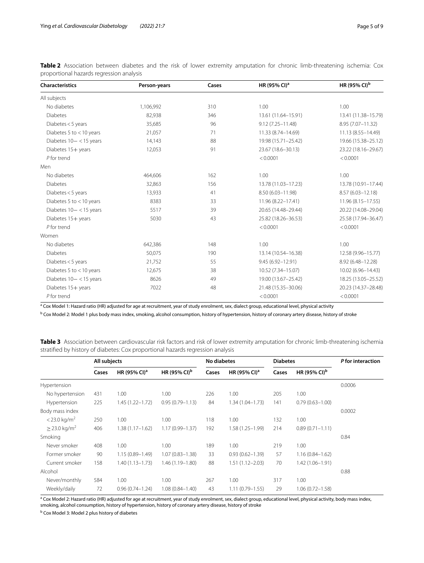| <b>Characteristics</b>     | Person-years | Cases | HR (95% CI) <sup>a</sup> | HR (95% CI) <sup>b</sup> |  |
|----------------------------|--------------|-------|--------------------------|--------------------------|--|
| All subjects               |              |       |                          |                          |  |
| No diabetes                | 1,106,992    | 310   | 1.00                     | 1.00                     |  |
| <b>Diabetes</b>            | 82,938       | 346   | 13.61 (11.64-15.91)      | 13.41 (11.38-15.79)      |  |
| Diabetes < 5 years         | 35,685       | 96    | $9.12(7.25 - 11.48)$     | 8.95 (7.07-11.32)        |  |
| Diabetes 5 to $<$ 10 years | 21,057       | 71    | 11.33 (8.74-14.69)       | 11.13 (8.55-14.49)       |  |
| Diabetes 10- < 15 years    | 14,143       | 88    | 19.98 (15.71-25.42)      | 19.66 (15.38-25.12)      |  |
| Diabetes 15+ years         | 12,053       | 91    | 23.67 (18.6-30.13)       | 23.22 (18.16-29.67)      |  |
| $P$ for trend              |              |       | < 0.0001                 | < 0.0001                 |  |
| Men                        |              |       |                          |                          |  |
| No diabetes                | 464.606      | 162   | 1.00                     | 1.00                     |  |
| <b>Diabetes</b>            | 32,863       | 156   | 13.78 (11.03-17.23)      | 13.78 (10.91-17.44)      |  |
| Diabetes $<$ 5 years       | 13,933       | 41    | 8.50 (6.03-11.98)        | $8.57(6.03 - 12.18)$     |  |
| Diabetes 5 to $<$ 10 years | 8383         | 33    | 11.96 (8.22-17.41)       | 11.96 (8.15 - 17.55)     |  |
| Diabetes $10 - < 15$ years | 5517         | 39    | 20.65 (14.48-29.44)      | 20.22 (14.08-29.04)      |  |
| Diabetes 15+ years         | 5030         | 43    | 25.82 (18.26-36.53)      | 25.58 (17.94-36.47)      |  |
| $P$ for trend              |              |       | < 0.0001                 | < 0.0001                 |  |
| Women                      |              |       |                          |                          |  |
| No diabetes                | 642,386      | 148   | 1.00                     | 1.00                     |  |
| <b>Diabetes</b>            | 50,075       | 190   | 13.14 (10.54-16.38)      | 12.58 (9.96-15.77)       |  |
| Diabetes < 5 years         | 21,752       | 55    | 9.45 (6.92-12.91)        | 8.92 (6.48-12.28)        |  |
| Diabetes 5 to $<$ 10 years | 12,675       | 38    | 10.52 (7.34-15.07)       | 10.02 (6.96-14.43)       |  |
| Diabetes $10 - < 15$ years | 8626         | 49    | 19.00 (13.67-25.42)      | 18.25 (13.05 - 25.52)    |  |
| Diabetes 15+ years         | 7022         | 48    | 21.48 (15.35-30.06)      | 20.23 (14.37-28.48)      |  |
| P for trend                |              |       | < 0.0001                 | < 0.0001                 |  |

<span id="page-4-0"></span>**Table 2** Association between diabetes and the risk of lower extremity amputation for chronic limb-threatening ischemia: Cox proportional hazards regression analysis

<sup>a</sup> Cox Model 1: Hazard ratio (HR) adjusted for age at recruitment, year of study enrolment, sex, dialect group, educational level, physical activity

<sup>b</sup> Cox Model 2: Model 1 plus body mass index, smoking, alcohol consumption, history of hypertension, history of coronary artery disease, history of stroke

<span id="page-4-1"></span>**Table 3** Association between cardiovascular risk factors and risk of lower extremity amputation for chronic limb-threatening ischemia stratifed by history of diabetes: Cox proportional hazards regression analysis

|                            | All subjects |                          |                          | No diabetes |                          | <b>Diabetes</b> |                          | P for interaction |  |
|----------------------------|--------------|--------------------------|--------------------------|-------------|--------------------------|-----------------|--------------------------|-------------------|--|
|                            | Cases        | HR (95% CI) <sup>a</sup> | HR (95% CI) <sup>b</sup> | Cases       | HR (95% CI) <sup>a</sup> | Cases           | HR (95% CI) <sup>b</sup> |                   |  |
| Hypertension               |              |                          |                          |             |                          |                 |                          | 0.0006            |  |
| No hypertension            | 431          | 1.00                     | 1.00                     | 226         | 1.00                     | 205             | 1.00                     |                   |  |
| Hypertension               | 225          | $1.45(1.22 - 1.72)$      | $0.95(0.79 - 1.13)$      | 84          | $1.34(1.04 - 1.73)$      | 141             | $0.79(0.63 - 1.00)$      |                   |  |
| Body mass index            |              |                          |                          |             |                          |                 |                          | 0.0002            |  |
| $<$ 23.0 kg/m <sup>2</sup> | 250          | 1.00                     | 1.00                     | 118         | 1.00                     | 132             | 1.00                     |                   |  |
| $>$ 23.0 kg/m <sup>2</sup> | 406          | $1.38(1.17 - 1.62)$      | $1.17(0.99 - 1.37)$      | 192         | $1.58(1.25 - 1.99)$      | 214             | $0.89(0.71 - 1.11)$      |                   |  |
| Smoking                    |              |                          |                          |             |                          |                 |                          | 0.84              |  |
| Never smoker               | 408          | 1.00                     | 1.00                     | 189         | 1.00                     | 219             | 1.00                     |                   |  |
| Former smoker              | 90           | $1.15(0.89 - 1.49)$      | $1.07(0.83 - 1.38)$      | 33          | $0.93(0.62 - 1.39)$      | 57              | $1.16(0.84 - 1.62)$      |                   |  |
| Current smoker             | 158          | $1.40(1.13 - 1.73)$      | $1.46(1.19 - 1.80)$      | 88          | $1.51(1.12 - 2.03)$      | 70              | 1.42 (1.06-1.91)         |                   |  |
| Alcohol                    |              |                          |                          |             |                          |                 |                          | 0.88              |  |
| Never/monthly              | 584          | 1.00                     | 1.00                     | 267         | 1.00                     | 317             | 1.00                     |                   |  |
| Weekly/daily               | 72           | $0.96(0.74 - 1.24)$      | $1.08(0.84 - 1.40)$      | 43          | $1.11(0.79 - 1.55)$      | 29              | $1.06(0.72 - 1.58)$      |                   |  |

<sup>a</sup> Cox Model 2: Hazard ratio (HR) adjusted for age at recruitment, year of study enrolment, sex, dialect group, educational level, physical activity, body mass index, smoking, alcohol consumption, history of hypertension, history of coronary artery disease, history of stroke

<sup>b</sup> Cox Model 3: Model 2 plus history of diabetes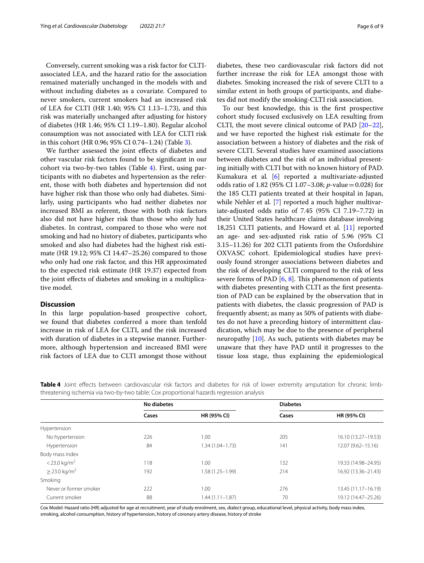Conversely, current smoking was a risk factor for CLTIassociated LEA, and the hazard ratio for the association remained materially unchanged in the models with and without including diabetes as a covariate. Compared to never smokers, current smokers had an increased risk of LEA for CLTI (HR 1.40; 95% CI 1.13–1.73), and this risk was materially unchanged after adjusting for history of diabetes (HR 1.46; 95% CI 1.19–1.80). Regular alcohol consumption was not associated with LEA for CLTI risk in this cohort (HR 0.96; 95% CI 0.74–1.24) (Table [3](#page-4-1)).

We further assessed the joint efects of diabetes and other vascular risk factors found to be signifcant in our cohort via two-by-two tables (Table [4](#page-5-0)). First, using participants with no diabetes and hypertension as the referent, those with both diabetes and hypertension did not have higher risk than those who only had diabetes. Similarly, using participants who had neither diabetes nor increased BMI as referent, those with both risk factors also did not have higher risk than those who only had diabetes. In contrast, compared to those who were not smoking and had no history of diabetes, participants who smoked and also had diabetes had the highest risk estimate (HR 19.12; 95% CI 14.47–25.26) compared to those who only had one risk factor, and this HR approximated to the expected risk estimate (HR 19.37) expected from the joint efects of diabetes and smoking in a multiplicative model.

# **Discussion**

In this large population-based prospective cohort, we found that diabetes conferred a more than tenfold increase in risk of LEA for CLTI, and the risk increased with duration of diabetes in a stepwise manner. Furthermore, although hypertension and increased BMI were risk factors of LEA due to CLTI amongst those without diabetes, these two cardiovascular risk factors did not further increase the risk for LEA amongst those with diabetes. Smoking increased the risk of severe CLTI to a similar extent in both groups of participants, and diabetes did not modify the smoking-CLTI risk association.

To our best knowledge, this is the frst prospective cohort study focused exclusively on LEA resulting from CLTI, the most severe clinical outcome of PAD [[20](#page-8-6)[–22](#page-8-7)], and we have reported the highest risk estimate for the association between a history of diabetes and the risk of severe CLTI. Several studies have examined associations between diabetes and the risk of an individual presenting initially with CLTI but with no known history of PAD. Kumakura et al*.* [\[6](#page-7-5)] reported a multivariate-adjusted odds ratio of 1.82 (95% CI 1.07–3.08; *p*-value=0.028) for the 185 CLTI patients treated at their hospital in Japan, while Nehler et al*.* [\[7](#page-7-9)] reported a much higher multivariate-adjusted odds ratio of 7.45 (95% CI 7.19–7.72) in their United States healthcare claims database involving 18,251 CLTI patients, and Howard et al*.* [[11\]](#page-7-10) reported an age- and sex-adjusted risk ratio of 5.96 (95% CI 3.15–11.26) for 202 CLTI patients from the Oxfordshire OXVASC cohort. Epidemiological studies have previously found stronger associations between diabetes and the risk of developing CLTI compared to the risk of less severe forms of PAD  $[6, 8]$  $[6, 8]$  $[6, 8]$  $[6, 8]$ . This phenomenon of patients with diabetes presenting with CLTI as the frst presentation of PAD can be explained by the observation that in patients with diabetes, the classic progression of PAD is frequently absent; as many as 50% of patients with diabetes do not have a preceding history of intermittent claudication, which may be due to the presence of peripheral neuropathy  $[10]$  $[10]$ . As such, patients with diabetes may be unaware that they have PAD until it progresses to the tissue loss stage, thus explaining the epidemiological

<span id="page-5-0"></span>

|  | No diabetes                                                                                                                     |  |  |  | <b>Diabetes</b> |  |  |
|--|---------------------------------------------------------------------------------------------------------------------------------|--|--|--|-----------------|--|--|
|  | threatening ischemia via two-by-two table: Cox proportional hazards regression analysis                                         |  |  |  |                 |  |  |
|  | Table 4 Joint effects between cardiovascular risk factors and diabetes for risk of lower extremity amputation for chronic limb- |  |  |  |                 |  |  |

|                               | No diabetes |                     | <b>Diabetes</b> |                     |  |  |
|-------------------------------|-------------|---------------------|-----------------|---------------------|--|--|
|                               | Cases       | HR (95% CI)         | Cases           | <b>HR (95% CI)</b>  |  |  |
| Hypertension                  |             |                     |                 |                     |  |  |
| No hypertension               | 226         | 1.00                | 205             | 16.10 (13.27-19.53) |  |  |
| Hypertension                  | 84          | $1.34(1.04 - 1.73)$ | 141             | 12.07 (9.62-15.16)  |  |  |
| Body mass index               |             |                     |                 |                     |  |  |
| $<$ 23.0 kg/m <sup>2</sup>    | 118         | 1.00                | 132             | 19.33 (14.98-24.95) |  |  |
| $\geq$ 23.0 kg/m <sup>2</sup> | 192         | $1.58(1.25 - 1.99)$ | 214             | 16.92 (13.36-21.43) |  |  |
| Smoking                       |             |                     |                 |                     |  |  |
| Never or former smoker        | 222         | 1.00                | 276             | 13.45 (11.17-16.19) |  |  |
| Current smoker                | 88          | $1.44(1.11 - 1.87)$ | 70              | 19.12 (14.47-25.26) |  |  |

Cox Model: Hazard ratio (HR) adjusted for age at recruitment, year of study enrolment, sex, dialect group, educational level, physical activity, body mass index, smoking, alcohol consumption, history of hypertension, history of coronary artery disease, history of stroke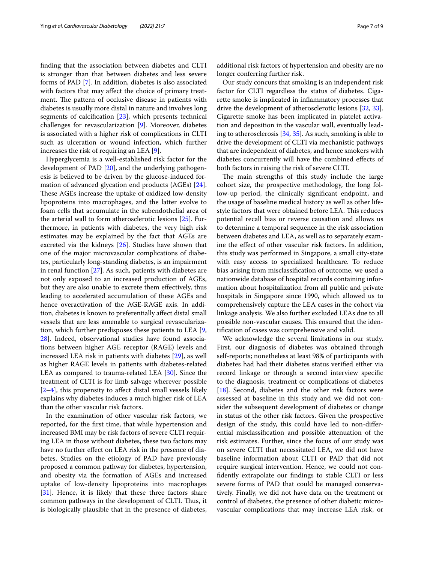fnding that the association between diabetes and CLTI is stronger than that between diabetes and less severe forms of PAD [[7\]](#page-7-9). In addition, diabetes is also associated with factors that may afect the choice of primary treatment. The pattern of occlusive disease in patients with diabetes is usually more distal in nature and involves long segments of calcification  $[23]$  $[23]$ , which presents technical challenges for revascularization [\[9](#page-7-7)]. Moreover, diabetes is associated with a higher risk of complications in CLTI such as ulceration or wound infection, which further increases the risk of requiring an LEA [\[9](#page-7-7)].

Hyperglycemia is a well-established risk factor for the development of PAD [\[20](#page-8-6)], and the underlying pathogenesis is believed to be driven by the glucose-induced formation of advanced glycation end products (AGEs) [\[24](#page-8-9)]. These AGEs increase the uptake of oxidized low-density lipoproteins into macrophages, and the latter evolve to foam cells that accumulate in the subendothelial area of the arterial wall to form atherosclerotic lesions [\[25](#page-8-10)]. Furthermore, in patients with diabetes, the very high risk estimates may be explained by the fact that AGEs are excreted via the kidneys [\[26](#page-8-11)]. Studies have shown that one of the major microvascular complications of diabetes, particularly long-standing diabetes, is an impairment in renal function [\[27\]](#page-8-12). As such, patients with diabetes are not only exposed to an increased production of AGEs, but they are also unable to excrete them efectively, thus leading to accelerated accumulation of these AGEs and hence overactivation of the AGE-RAGE axis. In addition, diabetes is known to preferentially afect distal small vessels that are less amenable to surgical revascularization, which further predisposes these patients to LEA [\[9](#page-7-7), [28\]](#page-8-13). Indeed, observational studies have found associations between higher AGE receptor (RAGE) levels and increased LEA risk in patients with diabetes [[29\]](#page-8-14), as well as higher RAGE levels in patients with diabetes-related LEA as compared to trauma-related LEA [\[30\]](#page-8-15). Since the treatment of CLTI is for limb salvage wherever possible  $[2-4]$  $[2-4]$ , this propensity to affect distal small vessels likely explains why diabetes induces a much higher risk of LEA than the other vascular risk factors.

In the examination of other vascular risk factors, we reported, for the frst time, that while hypertension and increased BMI may be risk factors of severe CLTI requiring LEA in those without diabetes, these two factors may have no further effect on LEA risk in the presence of diabetes. Studies on the etiology of PAD have previously proposed a common pathway for diabetes, hypertension, and obesity via the formation of AGEs and increased uptake of low-density lipoproteins into macrophages [[31\]](#page-8-16). Hence, it is likely that these three factors share common pathways in the development of CLTI. Thus, it is biologically plausible that in the presence of diabetes,

additional risk factors of hypertension and obesity are no longer conferring further risk.

Our study concurs that smoking is an independent risk factor for CLTI regardless the status of diabetes. Cigarette smoke is implicated in infammatory processes that drive the development of atherosclerotic lesions [\[32](#page-8-17), [33](#page-8-18)]. Cigarette smoke has been implicated in platelet activation and deposition in the vascular wall, eventually leading to atherosclerosis [[34,](#page-8-19) [35\]](#page-8-20). As such, smoking is able to drive the development of CLTI via mechanistic pathways that are independent of diabetes, and hence smokers with diabetes concurrently will have the combined efects of both factors in raising the risk of severe CLTI.

The main strengths of this study include the large cohort size, the prospective methodology, the long follow-up period, the clinically signifcant endpoint, and the usage of baseline medical history as well as other lifestyle factors that were obtained before LEA. This reduces potential recall bias or reverse causation and allows us to determine a temporal sequence in the risk association between diabetes and LEA, as well as to separately examine the efect of other vascular risk factors. In addition, this study was performed in Singapore, a small city-state with easy access to specialized healthcare. To reduce bias arising from misclassifcation of outcome, we used a nationwide database of hospital records containing information about hospitalization from all public and private hospitals in Singapore since 1990, which allowed us to comprehensively capture the LEA cases in the cohort via linkage analysis. We also further excluded LEAs due to all possible non-vascular causes. This ensured that the identifcation of cases was comprehensive and valid.

We acknowledge the several limitations in our study. First, our diagnosis of diabetes was obtained through self-reports; nonetheless at least 98% of participants with diabetes had had their diabetes status verifed either via record linkage or through a second interview specifc to the diagnosis, treatment or complications of diabetes [[18\]](#page-8-4). Second, diabetes and the other risk factors were assessed at baseline in this study and we did not consider the subsequent development of diabetes or change in status of the other risk factors. Given the prospective design of the study, this could have led to non-diferential misclassifcation and possible attenuation of the risk estimates. Further, since the focus of our study was on severe CLTI that necessitated LEA, we did not have baseline information about CLTI or PAD that did not require surgical intervention. Hence, we could not confdently extrapolate our fndings to stable CLTI or less severe forms of PAD that could be managed conservatively. Finally, we did not have data on the treatment or control of diabetes, the presence of other diabetic microvascular complications that may increase LEA risk, or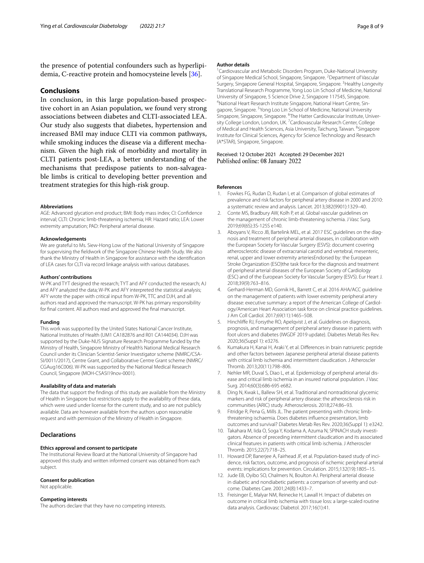the presence of potential confounders such as hyperlipidemia, C-reactive protein and homocysteine levels [\[36](#page-8-21)].

# **Conclusions**

In conclusion, in this large population-based prospective cohort in an Asian population, we found very strong associations between diabetes and CLTI-associated LEA. Our study also suggests that diabetes, hypertension and increased BMI may induce CLTI via common pathways, while smoking induces the disease via a diferent mechanism. Given the high risk of morbidity and mortality in CLTI patients post-LEA, a better understanding of the mechanisms that predispose patients to non-salvageable limbs is critical to developing better prevention and treatment strategies for this high-risk group.

#### **Abbreviations**

AGE: Advanced glycation end product; BMI: Body mass index; CI: Confdence interval; CLTI: Chronic limb-threatening ischemia; HR: Hazard ratio; LEA: Lower extremity amputation; PAD: Peripheral arterial disease.

#### **Acknowledgements**

We are grateful to Ms. Siew-Hong Low of the National University of Singapore for supervising the feldwork of the Singapore Chinese Health Study. We also thank the Ministry of Health in Singapore for assistance with the identifcation of LEA cases for CLTI via record linkage analysis with various databases.

#### **Authors' contributions**

W-PK and TYT designed the research; TYT and AFY conducted the research; AJ and AFY analyzed the data; W-PK and AFY interpreted the statistical analysis; AFY wrote the paper with critical input from W-PK, TTC and DJH, and all authors read and approved the manuscript. W-PK has primary responsibility for fnal content. All authors read and approved the fnal manuscript.

## **Funding**

This work was supported by the United States National Cancer Institute, National Institutes of Health (UM1 CA182876 and R01 CA144034). DJH was supported by the Duke-NUS Signature Research Programme funded by the Ministry of Health, Singapore Ministry of Health's National Medical Research Council under its Clinician Scientist-Senior Investigator scheme (NMRC/CSA-SI/0011/2017), Centre Grant, and Collaborative Centre Grant scheme (NMRC/ CGAug16C006). W-PK was supported by the National Medical Research Council, Singapore (MOH-CSASI19nov-0001).

#### **Availability of data and materials**

The data that support the fndings of this study are available from the Ministry of Health in Singapore but restrictions apply to the availability of these data, which were used under license for the current study, and so are not publicly available. Data are however available from the authors upon reasonable request and with permission of the Ministry of Health in Singapore.

# **Declarations**

#### **Ethics approval and consent to participate**

The Institutional Review Board at the National University of Singapore had approved this study and written informed consent was obtained from each subject.

## **Consent for publication**

Not applicable.

# **Competing interests**

The authors declare that they have no competing interests.

#### **Author details**

<sup>1</sup> Cardiovascular and Metabolic Disorders Program, Duke-National University of Singapore Medical School, Singapore, Singapore. <sup>2</sup> Department of Vascular Surgery, Singapore General Hospital, Singapore, Singapore. <sup>3</sup> Healthy Longevity Translational Research Programme, Yong Loo Lin School of Medicine, National University of Singapore, 5 Science Drive 2, Singapore 117545, Singapore. 4 <sup>4</sup>National Heart Research Institute Singapore, National Heart Centre, Singapore, Singapore. <sup>5</sup> Yong Loo Lin School of Medicine, National University Singapore, Singapore, Singapore. <sup>6</sup>The Hatter Cardiovascular Institute, University College London, London, UK.<sup>7</sup> Cardiovascular Research Center, College of Medical and Health Sciences, Asia University, Taichung, Taiwan. <sup>8</sup>Singapore Institute for Clinical Sciences, Agency for Science Technology and Research (A\*STAR), Singapore, Singapore.

Received: 12 October 2021 Accepted: 29 December 2021 Published online: 08 January 2022

#### **References**

- <span id="page-7-0"></span>1. Fowkes FG, Rudan D, Rudan I, et al. Comparison of global estimates of prevalence and risk factors for peripheral artery disease in 2000 and 2010: a systematic review and analysis. Lancet. 2013;382(9901):1329–40.
- <span id="page-7-1"></span>2. Conte MS, Bradbury AW, Kolh P, et al. Global vascular guidelines on the management of chronic limb-threatening ischemia. J Vasc Surg. 2019;69(6S):3S-125S e140.
- <span id="page-7-2"></span>Aboyans V, Ricco JB, Bartelink MEL, et al. 2017 ESC guidelines on the diagnosis and treatment of peripheral arterial diseases, in collaboration with the European Society for Vascular Surgery (ESVS): document covering atherosclerotic disease of extracranial carotid and vertebral, mesenteric, renal, upper and lower extremity arteriesEndorsed by: the European Stroke Organization (ESO)the task force for the diagnosis and treatment of peripheral arterial diseases of the European Society of Cardiology (ESC) and of the European Society for Vascular Surgery (ESVS). Eur Heart J. 2018;39(9):763–816.
- <span id="page-7-3"></span>4. Gerhard-Herman MD, Gornik HL, Barrett C, et al. 2016 AHA/ACC guideline on the management of patients with lower extremity peripheral artery disease: executive summary: a report of the American College of Cardiology/American Heart Association task force on clinical practice guidelines. J Am Coll Cardiol. 2017;69(11):1465–508.
- <span id="page-7-4"></span>5. Hinchlife RJ, Forsythe RO, Apelqvist J, et al. Guidelines on diagnosis, prognosis, and management of peripheral artery disease in patients with foot ulcers and diabetes (IWGDF 2019 update). Diabetes Metab Res Rev. 2020;36(Suppl 1): e3276.
- <span id="page-7-5"></span>6. Kumakura H, Kanai H, Araki Y, et al. Diferences in brain natriuretic peptide and other factors between Japanese peripheral arterial disease patients with critical limb ischemia and intermittent claudication. J Atheroscler Thromb. 2013;20(11):798–806.
- <span id="page-7-9"></span>7. Nehler MR, Duval S, Diao L, et al. Epidemiology of peripheral arterial disease and critical limb ischemia in an insured national population. J Vasc Surg. 2014;60(3):686-695 e682.
- <span id="page-7-6"></span>8. Ding N, Kwak L, Ballew SH, et al. Traditional and nontraditional glycemic markers and risk of peripheral artery disease: the atherosclerosis risk in communities (ARIC) study. Atherosclerosis. 2018;274:86–93.
- <span id="page-7-7"></span>9. Fitridge R, Pena G, Mills JL. The patient presenting with chronic limbthreatening ischaemia. Does diabetes infuence presentation, limb outcomes and survival? Diabetes Metab Res Rev. 2020;36(Suppl 1): e3242.
- <span id="page-7-8"></span>10. Takahara M, Iida O, Soga Y, Kodama A, Azuma N, SPINACH study investigators. Absence of preceding intermittent claudication and its associated clinical freatures in patients with critical limb ischemia. J Atheroscler Thromb. 2015;22(7):718–25.
- <span id="page-7-10"></span>11. Howard DP, Banerjee A, Fairhead JF, et al. Population-based study of incidence, risk factors, outcome, and prognosis of ischemic peripheral arterial events: implications for prevention. Circulation. 2015;132(19):1805–15.
- <span id="page-7-11"></span>12. Jude EB, Oyibo SO, Chalmers N, Boulton AJ. Peripheral arterial disease in diabetic and nondiabetic patients: a comparison of severity and outcome. Diabetes Care. 2001;24(8):1433–7.
- <span id="page-7-12"></span>13. Freisinger E, Malyar NM, Reinecke H, Lawall H. Impact of diabetes on outcome in critical limb ischemia with tissue loss: a large-scaled routine data analysis. Cardiovasc Diabetol. 2017;16(1):41.